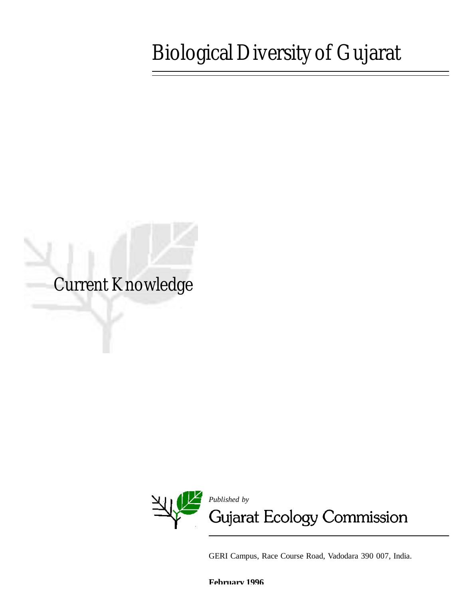# Biological Diversity of Gujarat

Current Knowledge



GERI Campus, Race Course Road, Vadodara 390 007, India.

**February 1996**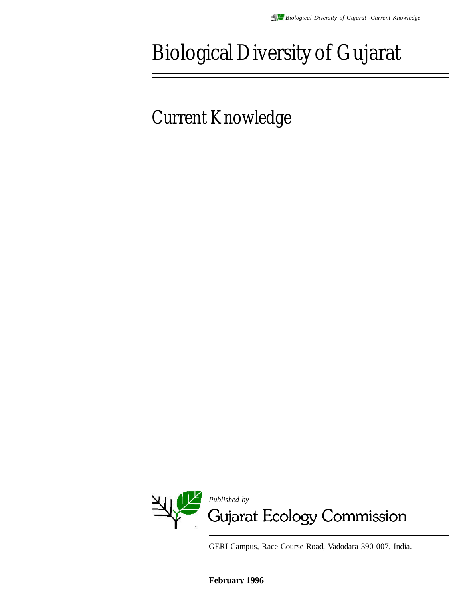# Biological Diversity of Gujarat

Current Knowledge



GERI Campus, Race Course Road, Vadodara 390 007, India.

**February 1996**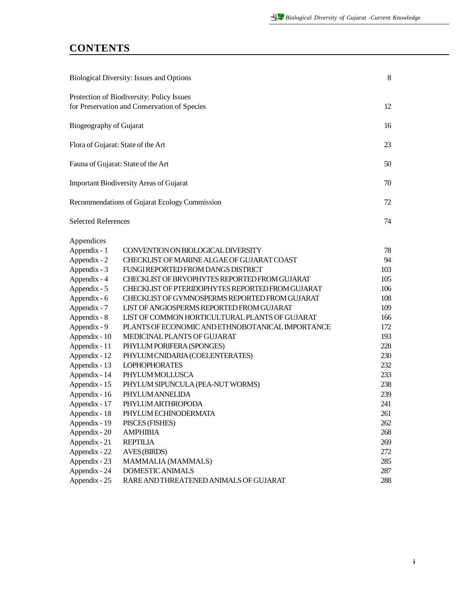### **CONTENTS**

| <b>Biological Diversity: Issues and Options</b>                                           |                                                  | 8   |
|-------------------------------------------------------------------------------------------|--------------------------------------------------|-----|
| Protection of Biodiversity: Policy Issues<br>for Preservation and Conservation of Species |                                                  | 12  |
| Biogeography of Gujarat                                                                   |                                                  | 16  |
|                                                                                           | Flora of Gujarat: State of the Art               | 23  |
|                                                                                           | Fauna of Gujarat: State of the Art               | 50  |
|                                                                                           | <b>Important Biodiversity Areas of Gujarat</b>   | 70  |
|                                                                                           | Recommendations of Gujarat Ecology Commission    | 72  |
| <b>Selected References</b>                                                                |                                                  | 74  |
| Appendices                                                                                |                                                  |     |
| Appendix - 1                                                                              | CONVENTION ON BIOLOGICAL DIVERSITY               | 78  |
| Appendix - 2                                                                              | CHECKLIST OF MARINE ALGAE OF GUJARAT COAST       | 94  |
| Appendix - 3                                                                              | FUNGI REPORTED FROM DANGS DISTRICT               | 103 |
| Appendix - 4                                                                              | CHECKLIST OF BRYOPHYTES REPORTED FROM GUJARAT    | 105 |
| Appendix - 5                                                                              | CHECKLIST OF PTERIDOPHYTES REPORTED FROM GUJARAT | 106 |
| Appendix - 6                                                                              | CHECKLIST OF GYMNOSPERMS REPORTED FROM GUJARAT   | 108 |
| Appendix - 7                                                                              | LIST OF ANGIOSPERMS REPORTED FROM GUJARAT        | 109 |
| Appendix - 8                                                                              | LIST OF COMMON HORTICULTURAL PLANTS OF GUJARAT   | 166 |
| Appendix - 9                                                                              | PLANTS OF ECONOMIC AND ETHNOBOTANICAL IMPORTANCE | 172 |
| Appendix - 10                                                                             | MEDICINAL PLANTS OF GUJARAT                      | 193 |
| Appendix - 11                                                                             | PHYLUM PORIFERA (SPONGES)                        | 228 |
| Appendix - 12                                                                             | PHYLUM CNIDARIA (COELENTERATES)                  | 230 |
| Appendix - 13                                                                             | <b>LOPHOPHORATES</b>                             | 232 |
| Appendix - 14                                                                             | PHYLUM MOLLUSCA                                  | 233 |
| Appendix - 15                                                                             | PHYLUM SIPUNCULA (PEA-NUT WORMS)                 | 238 |
| Appendix - 16                                                                             | PHYLUMANNELIDA                                   | 239 |
| Appendix - 17                                                                             | PHYLUM ARTHROPODA                                | 241 |
| Appendix - 18                                                                             | PHYLUM ECHINODERMATA                             | 261 |
| Appendix - 19                                                                             | PISCES (FISHES)                                  | 262 |
| Appendix - 20                                                                             | <b>AMPHIBIA</b>                                  | 268 |
| Appendix - 21                                                                             | <b>REPTILIA</b>                                  | 269 |
| Appendix - 22                                                                             | <b>AVES (BIRDS)</b>                              | 272 |
| Appendix - 23                                                                             | MAMMALIA (MAMMALS)                               | 285 |
| Appendix - 24                                                                             | DOMESTIC ANIMALS                                 | 287 |
| Appendix - 25                                                                             | RARE AND THREATENED ANIMALS OF GUJARAT           | 288 |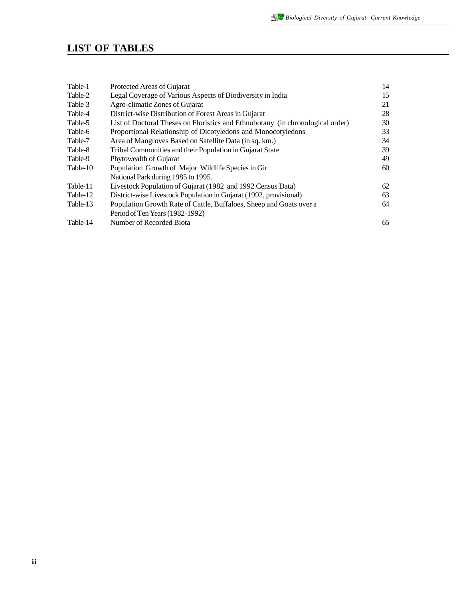### **LIST OF TABLES**

| Table-1  | Protected Areas of Gujarat                                                     | 14 |
|----------|--------------------------------------------------------------------------------|----|
| Table-2  | Legal Coverage of Various Aspects of Biodiversity in India                     | 15 |
| Table-3  | Agro-climatic Zones of Gujarat                                                 | 21 |
| Table-4  | District-wise Distribution of Forest Areas in Gujarat                          | 28 |
| Table-5  | List of Doctoral Theses on Floristics and Ethnobotany (in chronological order) | 30 |
| Table-6  | Proportional Relationship of Dicotyledons and Monocotyledons                   | 33 |
| Table-7  | Area of Mangroves Based on Satellite Data (in sq. km.)                         | 34 |
| Table-8  | Tribal Communities and their Population in Gujarat State                       | 39 |
| Table-9  | Phytowealth of Gujarat                                                         | 49 |
| Table-10 | Population Growth of Major Wildlife Species in Gir                             | 60 |
|          | National Park during 1985 to 1995.                                             |    |
| Table-11 | Livestock Population of Gujarat (1982 and 1992 Census Data)                    | 62 |
| Table-12 | District-wise Livestock Population in Gujarat (1992, provisional)              | 63 |
| Table-13 | Population Growth Rate of Cattle, Buffaloes, Sheep and Goats over a            | 64 |
|          | Period of Ten Years (1982-1992)                                                |    |
| Table-14 | Number of Recorded Biota                                                       | 65 |